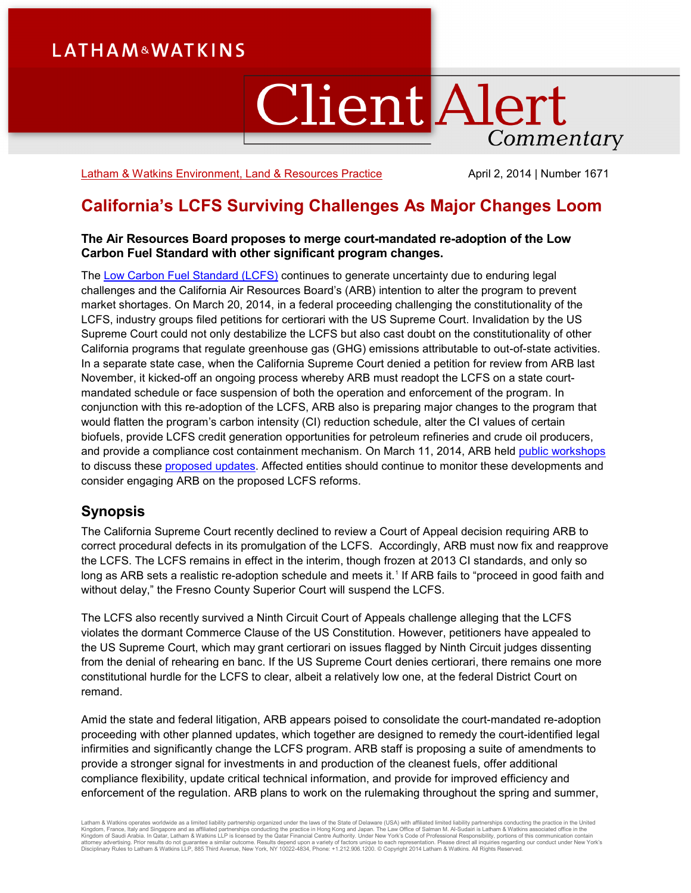# **LATHAM&WATKINS**

# **Client Alert** Commentary

[Latham & Watkins Environment, Land & Resources Practice](http://www.lw.com/practices/EnvironmentLandAndResources) April 2, 2014 | Number 1671

# **California's LCFS Surviving Challenges As Major Changes Loom**

#### **The Air Resources Board proposes to merge court-mandated re-adoption of the Low Carbon Fuel Standard with other significant program changes.**

The [Low Carbon Fuel Standard \(LCFS\)](http://www.arb.ca.gov/fuels/lcfs/lcfs.htm) continues to generate uncertainty due to enduring legal challenges and the California Air Resources Board's (ARB) intention to alter the program to prevent market shortages. On March 20, 2014, in a federal proceeding challenging the constitutionality of the LCFS, industry groups filed petitions for certiorari with the US Supreme Court. Invalidation by the US Supreme Court could not only destabilize the LCFS but also cast doubt on the constitutionality of other California programs that regulate greenhouse gas (GHG) emissions attributable to out-of-state activities. In a separate state case, when the California Supreme Court denied a petition for review from ARB last November, it kicked-off an ongoing process whereby ARB must readopt the LCFS on a state courtmandated schedule or face suspension of both the operation and enforcement of the program. In conjunction with this re-adoption of the LCFS, ARB also is preparing major changes to the program that would flatten the program's carbon intensity (CI) reduction schedule, alter the CI values of certain biofuels, provide LCFS credit generation opportunities for petroleum refineries and crude oil producers, and provide a compliance cost containment mechanism. On March 11, 2014, ARB held [public workshops](http://www.arb.ca.gov/fuels/lcfs/lcfs_meetings/lcfs_meetings.htm) to discuss these [proposed updates.](http://www.arb.ca.gov/fuels/lcfs/lcfs_meetings/030714lcfsconceptpaper.pdf) Affected entities should continue to monitor these developments and consider engaging ARB on the proposed LCFS reforms.

# **Synopsis**

The California Supreme Court recently declined to review a Court of Appeal decision requiring ARB to correct procedural defects in its promulgation of the LCFS. Accordingly, ARB must now fix and reapprove the LCFS. The LCFS remains in effect in the interim, though frozen at 2013 CI standards, and only so long as ARB sets a realistic re-adoption schedule and meets it.<sup>[1](#page-5-0)</sup> If ARB fails to "proceed in good faith and without delay," the Fresno County Superior Court will suspend the LCFS.

The LCFS also recently survived a Ninth Circuit Court of Appeals challenge alleging that the LCFS violates the dormant Commerce Clause of the US Constitution. However, petitioners have appealed to the US Supreme Court, which may grant certiorari on issues flagged by Ninth Circuit judges dissenting from the denial of rehearing en banc. If the US Supreme Court denies certiorari, there remains one more constitutional hurdle for the LCFS to clear, albeit a relatively low one, at the federal District Court on remand.

Amid the state and federal litigation, ARB appears poised to consolidate the court-mandated re-adoption proceeding with other planned updates, which together are designed to remedy the court-identified legal infirmities and significantly change the LCFS program. ARB staff is proposing a suite of amendments to provide a stronger signal for investments in and production of the cleanest fuels, offer additional compliance flexibility, update critical technical information, and provide for improved efficiency and enforcement of the regulation. ARB plans to work on the rulemaking throughout the spring and summer,

Latham & Watkins operates worldwide as a limited liability partnership organized under the laws of the State of Delaware (USA) with affiliated pinited liability partnerships conducting the practice in Hong Kong and Japan.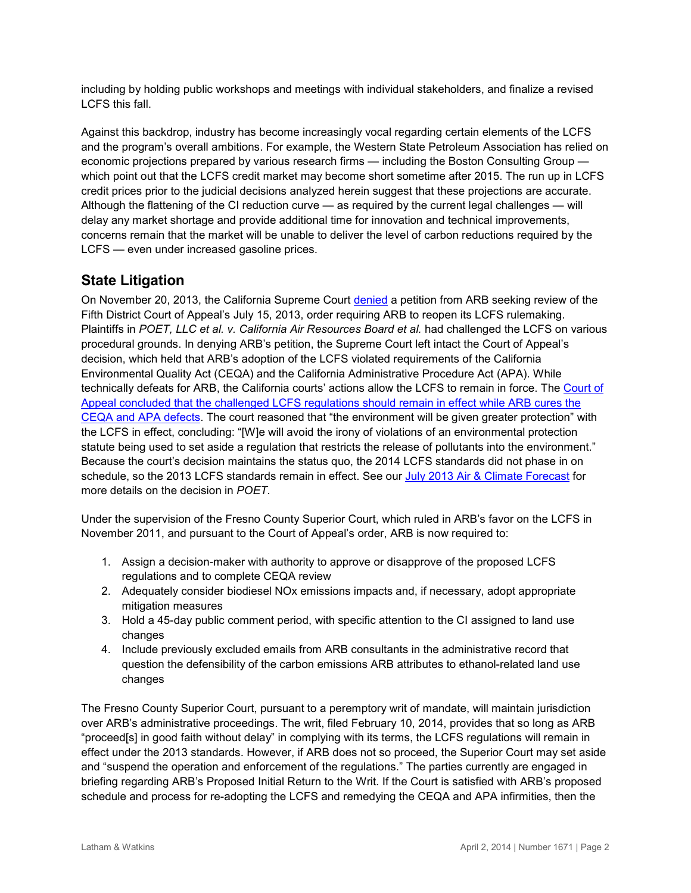including by holding public workshops and meetings with individual stakeholders, and finalize a revised LCFS this fall.

Against this backdrop, industry has become increasingly vocal regarding certain elements of the LCFS and the program's overall ambitions. For example, the Western State Petroleum Association has relied on economic projections prepared by various research firms — including the Boston Consulting Group which point out that the LCFS credit market may become short sometime after 2015. The run up in LCFS credit prices prior to the judicial decisions analyzed herein suggest that these projections are accurate. Although the flattening of the CI reduction curve — as required by the current legal challenges — will delay any market shortage and provide additional time for innovation and technical improvements, concerns remain that the market will be unable to deliver the level of carbon reductions required by the LCFS — even under increased gasoline prices.

# **State Litigation**

On November 20, 2013, the California Supreme Court [denied](http://www.courts.ca.gov/documents/minutes/SNOV2013.PDF) a petition from ARB seeking review of the Fifth District Court of Appeal's July 15, 2013, order requiring ARB to reopen its LCFS rulemaking. Plaintiffs in *POET, LLC et al. v. California Air Resources Board et al.* had challenged the LCFS on various procedural grounds. In denying ARB's petition, the Supreme Court left intact the Court of Appeal's decision, which held that ARB's adoption of the LCFS violated requirements of the California Environmental Quality Act (CEQA) and the California Administrative Procedure Act (APA). While technically defeats for ARB, the California courts' actions allow the LCFS to remain in force. The [Court of](http://www.cleanenergylawreport.com/emerging-companies/california-appellate-court-signals-low-carbon-fuel-standard-will-remain-in-effect-despite-ceqa-viola/)  [Appeal concluded that the challenged LCFS regulations should remain in effect while ARB cures the](http://www.cleanenergylawreport.com/emerging-companies/california-appellate-court-signals-low-carbon-fuel-standard-will-remain-in-effect-despite-ceqa-viola/)  [CEQA and APA defects.](http://www.cleanenergylawreport.com/emerging-companies/california-appellate-court-signals-low-carbon-fuel-standard-will-remain-in-effect-despite-ceqa-viola/) The court reasoned that "the environment will be given greater protection" with the LCFS in effect, concluding: "[W]e will avoid the irony of violations of an environmental protection statute being used to set aside a regulation that restricts the release of pollutants into the environment." Because the court's decision maintains the status quo, the 2014 LCFS standards did not phase in on schedule, so the 2013 LCFS standards remain in effect. See our [July 2013 Air & Climate Forecast](https://event.on24.com/eventRegistration/EventLobbyServlet?target=registration.jsp&eventid=653130&sessionid=1&key=D5255F1A19660E93130DBC4514662738&sourcepage=register) for more details on the decision in *POET.*

Under the supervision of the Fresno County Superior Court, which ruled in ARB's favor on the LCFS in November 2011, and pursuant to the Court of Appeal's order, ARB is now required to:

- 1. Assign a decision-maker with authority to approve or disapprove of the proposed LCFS regulations and to complete CEQA review
- 2. Adequately consider biodiesel NOx emissions impacts and, if necessary, adopt appropriate mitigation measures
- 3. Hold a 45-day public comment period, with specific attention to the CI assigned to land use changes
- 4. Include previously excluded emails from ARB consultants in the administrative record that question the defensibility of the carbon emissions ARB attributes to ethanol-related land use changes

The Fresno County Superior Court, pursuant to a peremptory writ of mandate, will maintain jurisdiction over ARB's administrative proceedings. The writ, filed February 10, 2014, provides that so long as ARB "proceed[s] in good faith without delay" in complying with its terms, the LCFS regulations will remain in effect under the 2013 standards. However, if ARB does not so proceed, the Superior Court may set aside and "suspend the operation and enforcement of the regulations." The parties currently are engaged in briefing regarding ARB's Proposed Initial Return to the Writ. If the Court is satisfied with ARB's proposed schedule and process for re-adopting the LCFS and remedying the CEQA and APA infirmities, then the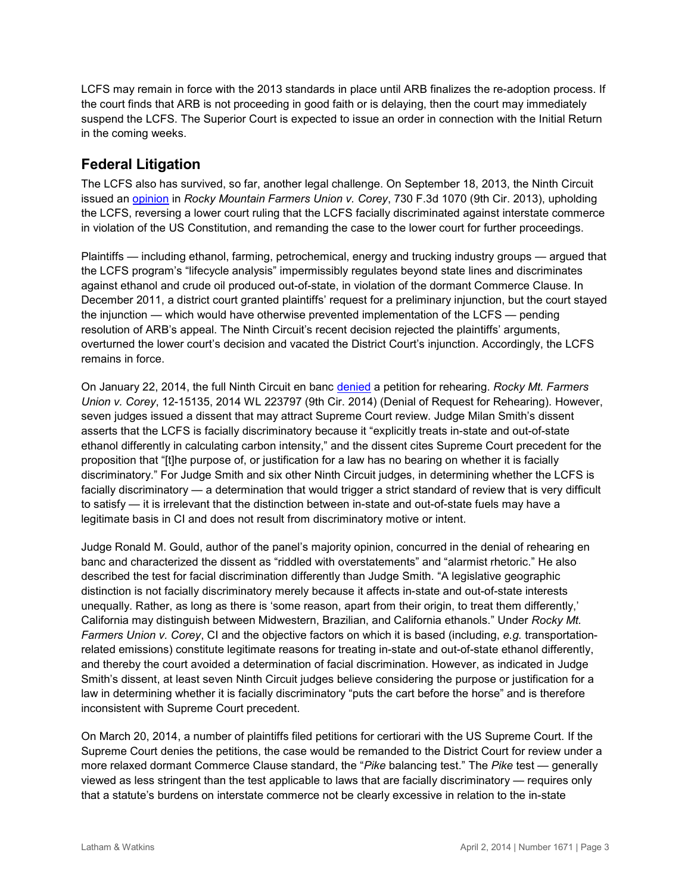LCFS may remain in force with the 2013 standards in place until ARB finalizes the re-adoption process. If the court finds that ARB is not proceeding in good faith or is delaying, then the court may immediately suspend the LCFS. The Superior Court is expected to issue an order in connection with the Initial Return in the coming weeks.

### **Federal Litigation**

The LCFS also has survived, so far, another legal challenge. On September 18, 2013, the Ninth Circuit issued an [opinion](http://cdn.ca9.uscourts.gov/datastore/opinions/2013/09/18/12-15131.pdf) in *Rocky Mountain Farmers Union v. Corey*, 730 F.3d 1070 (9th Cir. 2013), upholding the LCFS, reversing a lower court ruling that the LCFS facially discriminated against interstate commerce in violation of the US Constitution, and remanding the case to the lower court for further proceedings.

Plaintiffs — including ethanol, farming, petrochemical, energy and trucking industry groups — argued that the LCFS program's "lifecycle analysis" impermissibly regulates beyond state lines and discriminates against ethanol and crude oil produced out-of-state, in violation of the dormant Commerce Clause. In December 2011, a district court granted plaintiffs' request for a preliminary injunction, but the court stayed the injunction — which would have otherwise prevented implementation of the LCFS — pending resolution of ARB's appeal. The Ninth Circuit's recent decision rejected the plaintiffs' arguments, overturned the lower court's decision and vacated the District Court's injunction. Accordingly, the LCFS remains in force.

On January 22, 2014, the full Ninth Circuit en banc [denied](http://cdn.ca9.uscourts.gov/datastore/opinions/2014/01/22/12-15131.pdf) a petition for rehearing. *Rocky Mt. Farmers Union v. Corey*, 12-15135, 2014 WL 223797 (9th Cir. 2014) (Denial of Request for Rehearing). However, seven judges issued a dissent that may attract Supreme Court review. Judge Milan Smith's dissent asserts that the LCFS is facially discriminatory because it "explicitly treats in-state and out-of-state ethanol differently in calculating carbon intensity," and the dissent cites Supreme Court precedent for the proposition that "[t]he purpose of, or justification for a law has no bearing on whether it is facially discriminatory." For Judge Smith and six other Ninth Circuit judges, in determining whether the LCFS is facially discriminatory — a determination that would trigger a strict standard of review that is very difficult to satisfy — it is irrelevant that the distinction between in-state and out-of-state fuels may have a legitimate basis in CI and does not result from discriminatory motive or intent.

Judge Ronald M. Gould, author of the panel's majority opinion, concurred in the denial of rehearing en banc and characterized the dissent as "riddled with overstatements" and "alarmist rhetoric." He also described the test for facial discrimination differently than Judge Smith. "A legislative geographic distinction is not facially discriminatory merely because it affects in-state and out-of-state interests unequally. Rather, as long as there is 'some reason, apart from their origin, to treat them differently,' California may distinguish between Midwestern, Brazilian, and California ethanols." Under *Rocky Mt. Farmers Union v. Corey*, CI and the objective factors on which it is based (including, *e.g.* transportationrelated emissions) constitute legitimate reasons for treating in-state and out-of-state ethanol differently, and thereby the court avoided a determination of facial discrimination. However, as indicated in Judge Smith's dissent, at least seven Ninth Circuit judges believe considering the purpose or justification for a law in determining whether it is facially discriminatory "puts the cart before the horse" and is therefore inconsistent with Supreme Court precedent.

On March 20, 2014, a number of plaintiffs filed petitions for certiorari with the US Supreme Court. If the Supreme Court denies the petitions, the case would be remanded to the District Court for review under a more relaxed dormant Commerce Clause standard, the "*Pike* balancing test." The *Pike* test — generally viewed as less stringent than the test applicable to laws that are facially discriminatory — requires only that a statute's burdens on interstate commerce not be clearly excessive in relation to the in-state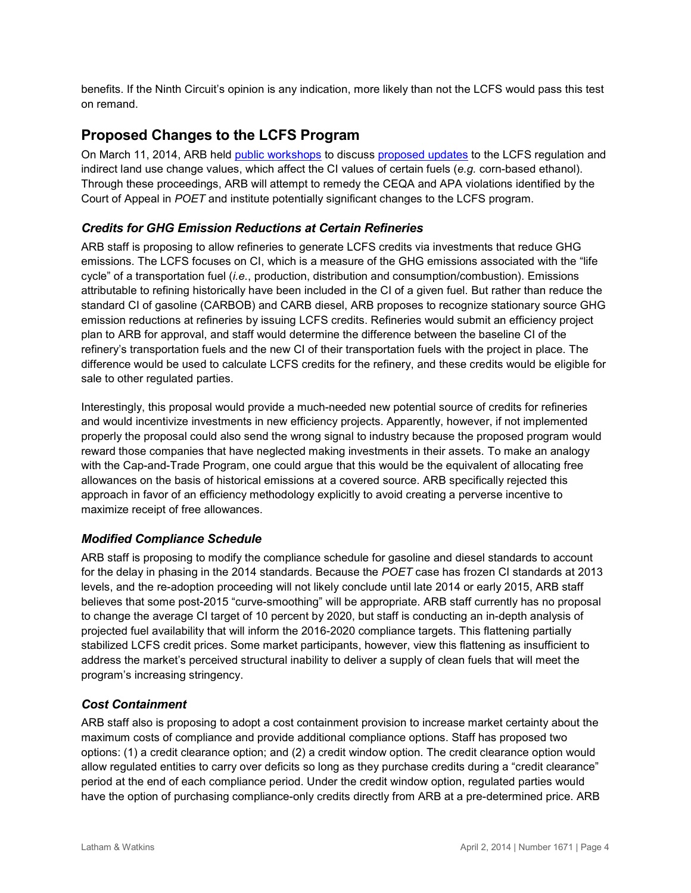benefits. If the Ninth Circuit's opinion is any indication, more likely than not the LCFS would pass this test on remand.

# **Proposed Changes to the LCFS Program**

On March 11, 2014, ARB held [public workshops](http://www.arb.ca.gov/fuels/lcfs/lcfs_meetings/lcfs_meetings.htm) to discuss [proposed updates](http://www.arb.ca.gov/fuels/lcfs/lcfs_meetings/030714lcfsconceptpaper.pdf) to the LCFS regulation and indirect land use change values, which affect the CI values of certain fuels (*e.g.* corn-based ethanol). Through these proceedings, ARB will attempt to remedy the CEQA and APA violations identified by the Court of Appeal in *POET* and institute potentially significant changes to the LCFS program.

#### *Credits for GHG Emission Reductions at Certain Refineries*

ARB staff is proposing to allow refineries to generate LCFS credits via investments that reduce GHG emissions. The LCFS focuses on CI, which is a measure of the GHG emissions associated with the "life cycle" of a transportation fuel (*i.e.*, production, distribution and consumption/combustion). Emissions attributable to refining historically have been included in the CI of a given fuel. But rather than reduce the standard CI of gasoline (CARBOB) and CARB diesel, ARB proposes to recognize stationary source GHG emission reductions at refineries by issuing LCFS credits. Refineries would submit an efficiency project plan to ARB for approval, and staff would determine the difference between the baseline CI of the refinery's transportation fuels and the new CI of their transportation fuels with the project in place. The difference would be used to calculate LCFS credits for the refinery, and these credits would be eligible for sale to other regulated parties.

Interestingly, this proposal would provide a much-needed new potential source of credits for refineries and would incentivize investments in new efficiency projects. Apparently, however, if not implemented properly the proposal could also send the wrong signal to industry because the proposed program would reward those companies that have neglected making investments in their assets. To make an analogy with the Cap-and-Trade Program, one could argue that this would be the equivalent of allocating free allowances on the basis of historical emissions at a covered source. ARB specifically rejected this approach in favor of an efficiency methodology explicitly to avoid creating a perverse incentive to maximize receipt of free allowances.

#### *Modified Compliance Schedule*

ARB staff is proposing to modify the compliance schedule for gasoline and diesel standards to account for the delay in phasing in the 2014 standards. Because the *POET* case has frozen CI standards at 2013 levels, and the re-adoption proceeding will not likely conclude until late 2014 or early 2015, ARB staff believes that some post-2015 "curve-smoothing" will be appropriate. ARB staff currently has no proposal to change the average CI target of 10 percent by 2020, but staff is conducting an in-depth analysis of projected fuel availability that will inform the 2016-2020 compliance targets. This flattening partially stabilized LCFS credit prices. Some market participants, however, view this flattening as insufficient to address the market's perceived structural inability to deliver a supply of clean fuels that will meet the program's increasing stringency.

#### *Cost Containment*

ARB staff also is proposing to adopt a cost containment provision to increase market certainty about the maximum costs of compliance and provide additional compliance options. Staff has proposed two options: (1) a credit clearance option; and (2) a credit window option. The credit clearance option would allow regulated entities to carry over deficits so long as they purchase credits during a "credit clearance" period at the end of each compliance period. Under the credit window option, regulated parties would have the option of purchasing compliance-only credits directly from ARB at a pre-determined price. ARB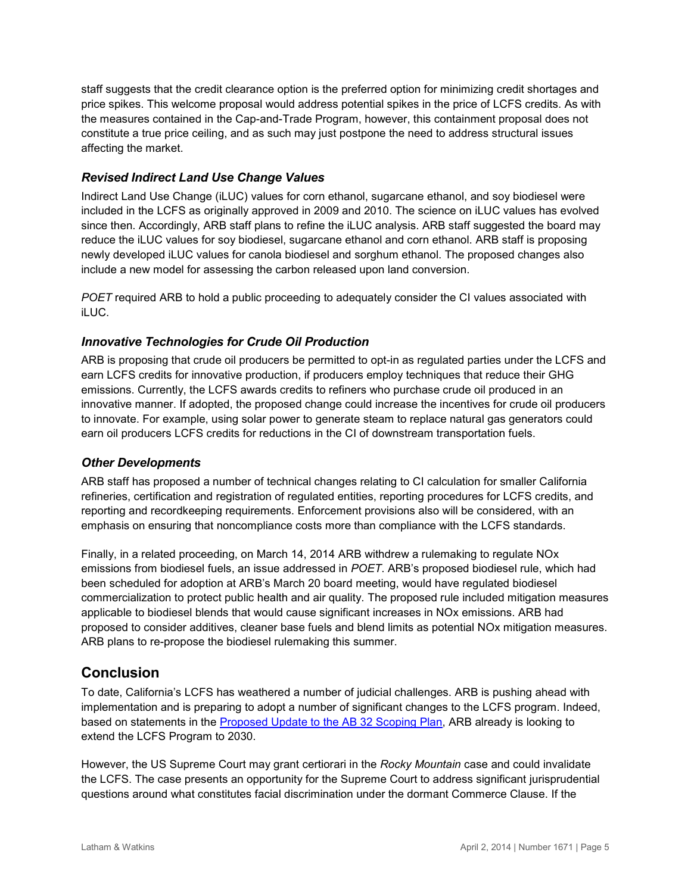staff suggests that the credit clearance option is the preferred option for minimizing credit shortages and price spikes. This welcome proposal would address potential spikes in the price of LCFS credits. As with the measures contained in the Cap-and-Trade Program, however, this containment proposal does not constitute a true price ceiling, and as such may just postpone the need to address structural issues affecting the market.

#### *Revised Indirect Land Use Change Values*

Indirect Land Use Change (iLUC) values for corn ethanol, sugarcane ethanol, and soy biodiesel were included in the LCFS as originally approved in 2009 and 2010. The science on iLUC values has evolved since then. Accordingly, ARB staff plans to refine the iLUC analysis. ARB staff suggested the board may reduce the iLUC values for soy biodiesel, sugarcane ethanol and corn ethanol. ARB staff is proposing newly developed iLUC values for canola biodiesel and sorghum ethanol. The proposed changes also include a new model for assessing the carbon released upon land conversion.

*POET* required ARB to hold a public proceeding to adequately consider the CI values associated with iLUC.

#### *Innovative Technologies for Crude Oil Production*

ARB is proposing that crude oil producers be permitted to opt-in as regulated parties under the LCFS and earn LCFS credits for innovative production, if producers employ techniques that reduce their GHG emissions. Currently, the LCFS awards credits to refiners who purchase crude oil produced in an innovative manner. If adopted, the proposed change could increase the incentives for crude oil producers to innovate. For example, using solar power to generate steam to replace natural gas generators could earn oil producers LCFS credits for reductions in the CI of downstream transportation fuels.

#### *Other Developments*

ARB staff has proposed a number of technical changes relating to CI calculation for smaller California refineries, certification and registration of regulated entities, reporting procedures for LCFS credits, and reporting and recordkeeping requirements. Enforcement provisions also will be considered, with an emphasis on ensuring that noncompliance costs more than compliance with the LCFS standards.

Finally, in a related proceeding, on March 14, 2014 ARB withdrew a rulemaking to regulate NOx emissions from biodiesel fuels, an issue addressed in *POET*. ARB's proposed biodiesel rule, which had been scheduled for adoption at ARB's March 20 board meeting, would have regulated biodiesel commercialization to protect public health and air quality. The proposed rule included mitigation measures applicable to biodiesel blends that would cause significant increases in NOx emissions. ARB had proposed to consider additives, cleaner base fuels and blend limits as potential NOx mitigation measures. ARB plans to re-propose the biodiesel rulemaking this summer.

# **Conclusion**

To date, California's LCFS has weathered a number of judicial challenges. ARB is pushing ahead with implementation and is preparing to adopt a number of significant changes to the LCFS program. Indeed, based on statements in the [Proposed Update to the AB 32 Scoping Plan,](http://www.arb.ca.gov/cc/scopingplan/2013_update/draft_proposed_first_update.pdf) ARB already is looking to extend the LCFS Program to 2030.

However, the US Supreme Court may grant certiorari in the *Rocky Mountain* case and could invalidate the LCFS. The case presents an opportunity for the Supreme Court to address significant jurisprudential questions around what constitutes facial discrimination under the dormant Commerce Clause. If the